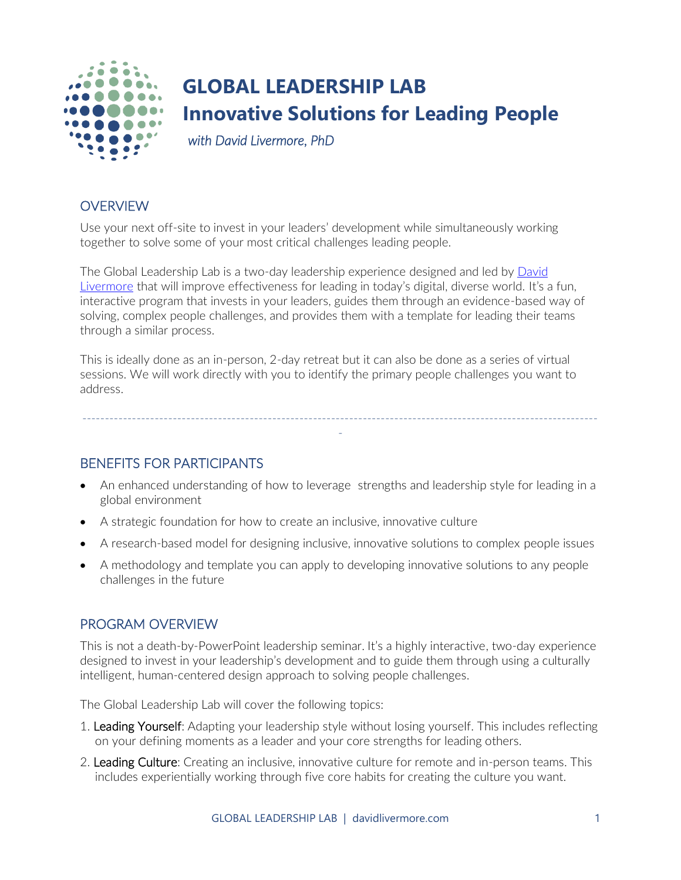

## **GLOBAL LEADERSHIP LAB Innovative Solutions for Leading People**

 *with David Livermore, PhD* 

## **OVERVIEW**

Use your next off-site to invest in your leaders' development while simultaneously working together to solve some of your most critical challenges leading people.

The Global Leadership Lab is a two-day leadership experience designed and led by [David](https://davidlivermore.com/)  [Livermore](https://davidlivermore.com/) that will improve effectiveness for leading in today's digital, diverse world. It's a fun, interactive program that invests in your leaders, guides them through an evidence-based way of solving, complex people challenges, and provides them with a template for leading their teams through a similar process.

This is ideally done as an in-person, 2-day retreat but it can also be done as a series of virtual sessions. We will work directly with you to identify the primary people challenges you want to address.

BENEFITS FOR PARTICIPANTS

• An enhanced understanding of how to leverage strengths and leadership style for leading in a global environment

------------------------------------------------------------------------------------------------------------------ -

- A strategic foundation for how to create an inclusive, innovative culture
- A research-based model for designing inclusive, innovative solutions to complex people issues
- A methodology and template you can apply to developing innovative solutions to any people challenges in the future

## PROGRAM OVERVIEW

This is not a death-by-PowerPoint leadership seminar. It's a highly interactive, two-day experience designed to invest in your leadership's development and to guide them through using a culturally intelligent, human-centered design approach to solving people challenges.

The Global Leadership Lab will cover the following topics:

- 1. Leading Yourself: Adapting your leadership style without losing yourself. This includes reflecting on your defining moments as a leader and your core strengths for leading others.
- 2. Leading Culture: Creating an inclusive, innovative culture for remote and in-person teams. This includes experientially working through five core habits for creating the culture you want.